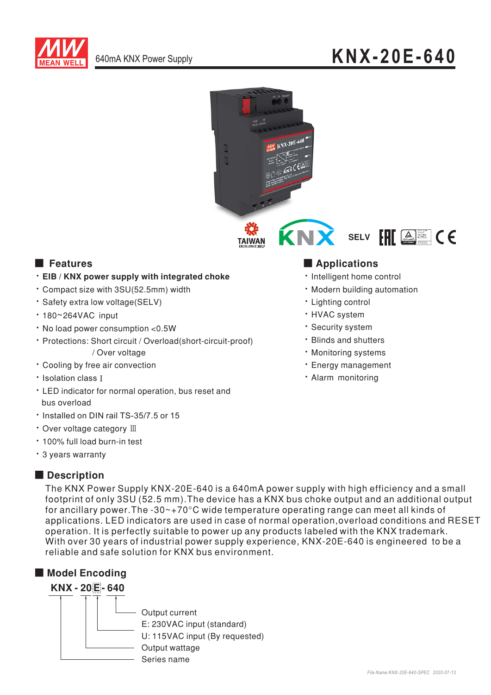



# **Executer** Features

- . EIB / KNX power supply with integrated choke
- \* Compact size with 3SU(52.5mm) width
- · Safety extra low voltage(SELV)
- $\cdot$  180~264VAC input
- . No load power consumption <0.5W
- · Protections: Short circuit / Overload(short-circuit-proof) / Over voltage
- \* Cooling by free air convection
- \* Isolation class T
- LED indicator for normal operation, bus reset and bus overload
- . Installed on DIN rail TS-35/7.5 or 15
- Over voltage category III
- · 100% full load burn-in test
- \* 3 years warranty

## Description

The KNX Power Supply KNX-20E-640 is a 640mA power supply with high efficiency and a small footprint of only 3SU (52.5 mm). The device has a KNX bus choke output and an additional output for ancillary power. The -30 $\sim$ +70 $\degree$ C wide temperature operating range can meet all kinds of applications. LED indicators are used in case of normal operation, overload conditions and RESET operation. It is perfectly suitable to power up any products labeled with the KNX trademark. With over 30 years of industrial power supply experience. KNX-20E-640 is engineered to be a reliable and safe solution for KNX bus environment





# **Applications**

- · Intelligent home control
- · Modern building automation
- · Lighting control
- · HVAC system
- · Security system
- · Blinds and shutters
- · Monitoring systems
- · Energy management
- · Alarm monitoring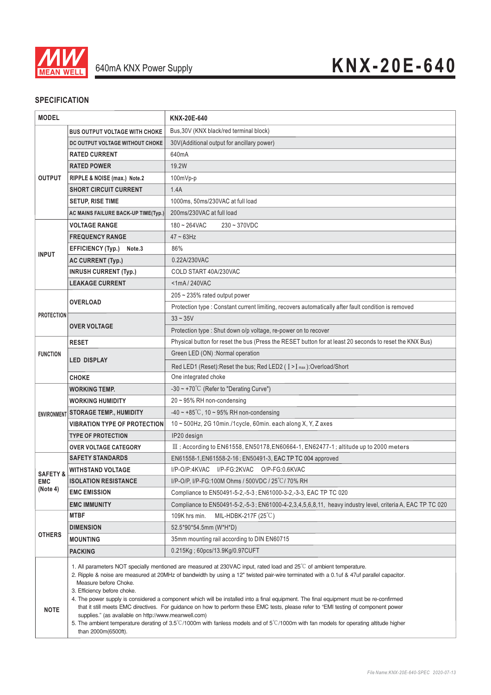

### **SPECIFICATION**

| <b>MODEL</b>                                  |                                                                                                                                                                                                                                                                                                                                                                                                                                                                                                                                                                                                                                                                                                                                                                                                                   | KNX-20E-640                                                                                               |
|-----------------------------------------------|-------------------------------------------------------------------------------------------------------------------------------------------------------------------------------------------------------------------------------------------------------------------------------------------------------------------------------------------------------------------------------------------------------------------------------------------------------------------------------------------------------------------------------------------------------------------------------------------------------------------------------------------------------------------------------------------------------------------------------------------------------------------------------------------------------------------|-----------------------------------------------------------------------------------------------------------|
| <b>OUTPUT</b>                                 | <b>BUS OUTPUT VOLTAGE WITH CHOKE</b>                                                                                                                                                                                                                                                                                                                                                                                                                                                                                                                                                                                                                                                                                                                                                                              | Bus, 30V (KNX black/red terminal block)                                                                   |
|                                               | DC OUTPUT VOLTAGE WITHOUT CHOKE                                                                                                                                                                                                                                                                                                                                                                                                                                                                                                                                                                                                                                                                                                                                                                                   | 30V(Additional output for ancillary power)                                                                |
|                                               | <b>RATED CURRENT</b>                                                                                                                                                                                                                                                                                                                                                                                                                                                                                                                                                                                                                                                                                                                                                                                              | 640mA                                                                                                     |
|                                               | <b>RATED POWER</b>                                                                                                                                                                                                                                                                                                                                                                                                                                                                                                                                                                                                                                                                                                                                                                                                | 19.2W                                                                                                     |
|                                               | RIPPLE & NOISE (max.) Note.2                                                                                                                                                                                                                                                                                                                                                                                                                                                                                                                                                                                                                                                                                                                                                                                      | 100mVp-p                                                                                                  |
|                                               | <b>SHORT CIRCUIT CURRENT</b>                                                                                                                                                                                                                                                                                                                                                                                                                                                                                                                                                                                                                                                                                                                                                                                      | 1.4A                                                                                                      |
|                                               | <b>SETUP, RISE TIME</b>                                                                                                                                                                                                                                                                                                                                                                                                                                                                                                                                                                                                                                                                                                                                                                                           | 1000ms, 50ms/230VAC at full load                                                                          |
|                                               | <b>AC MAINS FAILURE BACK-UP TIME(Typ.)</b>                                                                                                                                                                                                                                                                                                                                                                                                                                                                                                                                                                                                                                                                                                                                                                        | 200ms/230VAC at full load                                                                                 |
| <b>INPUT</b>                                  | <b>VOLTAGE RANGE</b>                                                                                                                                                                                                                                                                                                                                                                                                                                                                                                                                                                                                                                                                                                                                                                                              | $180 - 264$ VAC<br>$230 - 370$ VDC                                                                        |
|                                               | <b>FREQUENCY RANGE</b>                                                                                                                                                                                                                                                                                                                                                                                                                                                                                                                                                                                                                                                                                                                                                                                            | $47 - 63$ Hz                                                                                              |
|                                               | <b>EFFICIENCY (Typ.)</b><br>Note.3                                                                                                                                                                                                                                                                                                                                                                                                                                                                                                                                                                                                                                                                                                                                                                                | 86%                                                                                                       |
|                                               | <b>AC CURRENT (Typ.)</b>                                                                                                                                                                                                                                                                                                                                                                                                                                                                                                                                                                                                                                                                                                                                                                                          | 0.22A/230VAC                                                                                              |
|                                               | <b>INRUSH CURRENT (Typ.)</b>                                                                                                                                                                                                                                                                                                                                                                                                                                                                                                                                                                                                                                                                                                                                                                                      | COLD START 40A/230VAC                                                                                     |
|                                               | <b>LEAKAGE CURRENT</b>                                                                                                                                                                                                                                                                                                                                                                                                                                                                                                                                                                                                                                                                                                                                                                                            | <1mA/240VAC                                                                                               |
| <b>PROTECTION</b>                             | OVERLOAD                                                                                                                                                                                                                                                                                                                                                                                                                                                                                                                                                                                                                                                                                                                                                                                                          | 205 ~ 235% rated output power                                                                             |
|                                               |                                                                                                                                                                                                                                                                                                                                                                                                                                                                                                                                                                                                                                                                                                                                                                                                                   | Protection type : Constant current limiting, recovers automatically after fault condition is removed      |
|                                               | <b>OVER VOLTAGE</b>                                                                                                                                                                                                                                                                                                                                                                                                                                                                                                                                                                                                                                                                                                                                                                                               | $33 - 35V$                                                                                                |
|                                               |                                                                                                                                                                                                                                                                                                                                                                                                                                                                                                                                                                                                                                                                                                                                                                                                                   | Protection type : Shut down o/p voltage, re-power on to recover                                           |
| <b>FUNCTION</b>                               | <b>RESET</b>                                                                                                                                                                                                                                                                                                                                                                                                                                                                                                                                                                                                                                                                                                                                                                                                      | Physical button for reset the bus (Press the RESET button for at least 20 seconds to reset the KNX Bus)   |
|                                               | <b>LED DISPLAY</b>                                                                                                                                                                                                                                                                                                                                                                                                                                                                                                                                                                                                                                                                                                                                                                                                | Green LED (ON) :Normal operation                                                                          |
|                                               |                                                                                                                                                                                                                                                                                                                                                                                                                                                                                                                                                                                                                                                                                                                                                                                                                   | Red LED1 (Reset): Reset the bus; Red LED2 ( I > I max ): Overload/Short                                   |
|                                               | CHOKE                                                                                                                                                                                                                                                                                                                                                                                                                                                                                                                                                                                                                                                                                                                                                                                                             | One integrated choke                                                                                      |
| <b>ENVIRONMENT</b>                            | <b>WORKING TEMP.</b>                                                                                                                                                                                                                                                                                                                                                                                                                                                                                                                                                                                                                                                                                                                                                                                              | $-30 \sim +70^{\circ}$ C (Refer to "Derating Curve")                                                      |
|                                               | WORKING HUMIDITY                                                                                                                                                                                                                                                                                                                                                                                                                                                                                                                                                                                                                                                                                                                                                                                                  | $20 \sim 95\%$ RH non-condensing                                                                          |
|                                               | <b>STORAGE TEMP., HUMIDITY</b>                                                                                                                                                                                                                                                                                                                                                                                                                                                                                                                                                                                                                                                                                                                                                                                    | $-40 \sim +85^{\circ}$ C, 10 ~ 95% RH non-condensing                                                      |
|                                               | <b>VIBRATION TYPE OF PROTECTION</b>                                                                                                                                                                                                                                                                                                                                                                                                                                                                                                                                                                                                                                                                                                                                                                               | 10 ~ 500Hz, 2G 10min./1cycle, 60min. each along X, Y, Z axes                                              |
|                                               | <b>TYPE OF PROTECTION</b>                                                                                                                                                                                                                                                                                                                                                                                                                                                                                                                                                                                                                                                                                                                                                                                         | IP20 design                                                                                               |
|                                               | <b>OVER VOLTAGE CATEGORY</b>                                                                                                                                                                                                                                                                                                                                                                                                                                                                                                                                                                                                                                                                                                                                                                                      | $III$ ; According to EN61558, EN50178, EN60664-1, EN62477-1; altitude up to 2000 meters                   |
| <b>SAFETY &amp;</b><br><b>EMC</b><br>(Note 4) | <b>SAFETY STANDARDS</b>                                                                                                                                                                                                                                                                                                                                                                                                                                                                                                                                                                                                                                                                                                                                                                                           | EN61558-1, EN61558-2-16; EN50491-3, EAC TP TC 004 approved                                                |
|                                               | <b>WITHSTAND VOLTAGE</b>                                                                                                                                                                                                                                                                                                                                                                                                                                                                                                                                                                                                                                                                                                                                                                                          | I/P-O/P:4KVAC I/P-FG:2KVAC O/P-FG:0.6KVAC                                                                 |
|                                               | <b>ISOLATION RESISTANCE</b>                                                                                                                                                                                                                                                                                                                                                                                                                                                                                                                                                                                                                                                                                                                                                                                       | I/P-O/P, I/P-FG:100M Ohms / 500VDC / 25°C/70% RH                                                          |
|                                               | <b>EMC EMISSION</b>                                                                                                                                                                                                                                                                                                                                                                                                                                                                                                                                                                                                                                                                                                                                                                                               | Compliance to EN50491-5-2,-5-3; EN61000-3-2,-3-3, EAC TP TC 020                                           |
|                                               | <b>EMC IMMUNITY</b>                                                                                                                                                                                                                                                                                                                                                                                                                                                                                                                                                                                                                                                                                                                                                                                               | Compliance to EN50491-5-2,-5-3; EN61000-4-2,3,4,5,6,8,11, heavy industry level, criteria A, EAC TP TC 020 |
| <b>OTHERS</b>                                 | <b>MTBF</b>                                                                                                                                                                                                                                                                                                                                                                                                                                                                                                                                                                                                                                                                                                                                                                                                       | MIL-HDBK-217F (25°C)<br>109K hrs min.                                                                     |
|                                               | <b>DIMENSION</b>                                                                                                                                                                                                                                                                                                                                                                                                                                                                                                                                                                                                                                                                                                                                                                                                  | 52.5*90*54.5mm (W*H*D)                                                                                    |
|                                               | <b>MOUNTING</b>                                                                                                                                                                                                                                                                                                                                                                                                                                                                                                                                                                                                                                                                                                                                                                                                   | 35mm mounting rail according to DIN EN60715                                                               |
|                                               | <b>PACKING</b>                                                                                                                                                                                                                                                                                                                                                                                                                                                                                                                                                                                                                                                                                                                                                                                                    | 0.215Kg; 60pcs/13.9Kg/0.97CUFT                                                                            |
| <b>NOTE</b>                                   | 1. All parameters NOT specially mentioned are measured at 230VAC input, rated load and $25^{\circ}$ of ambient temperature.<br>2. Ripple & noise are measured at 20MHz of bandwidth by using a 12" twisted pair-wire terminated with a 0.1uf & 47uf parallel capacitor.<br>Measure before Choke.<br>3. Efficiency before choke.<br>4. The power supply is considered a component which will be installed into a final equipment. The final equipment must be re-confirmed<br>that it still meets EMC directives. For guidance on how to perform these EMC tests, please refer to "EMI testing of component power<br>supplies." (as available on http://www.meanwell.com)<br>5. The ambient temperature derating of 3.5°C/1000m with fanless models and of 5°C/1000m with fan models for operating altitude higher |                                                                                                           |
|                                               | than 2000m(6500ft).                                                                                                                                                                                                                                                                                                                                                                                                                                                                                                                                                                                                                                                                                                                                                                                               |                                                                                                           |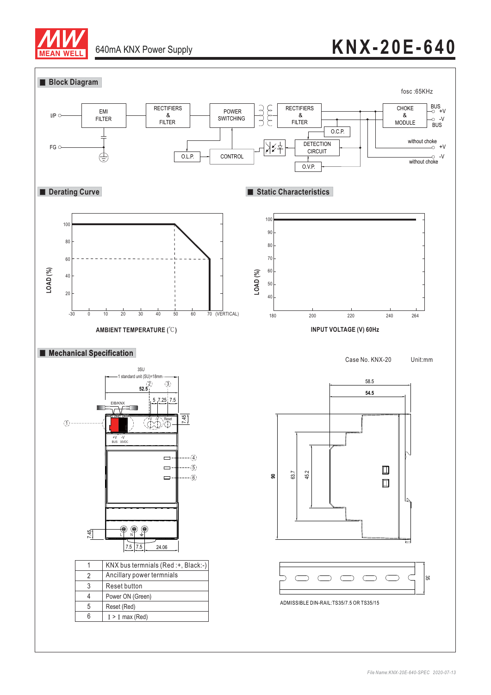